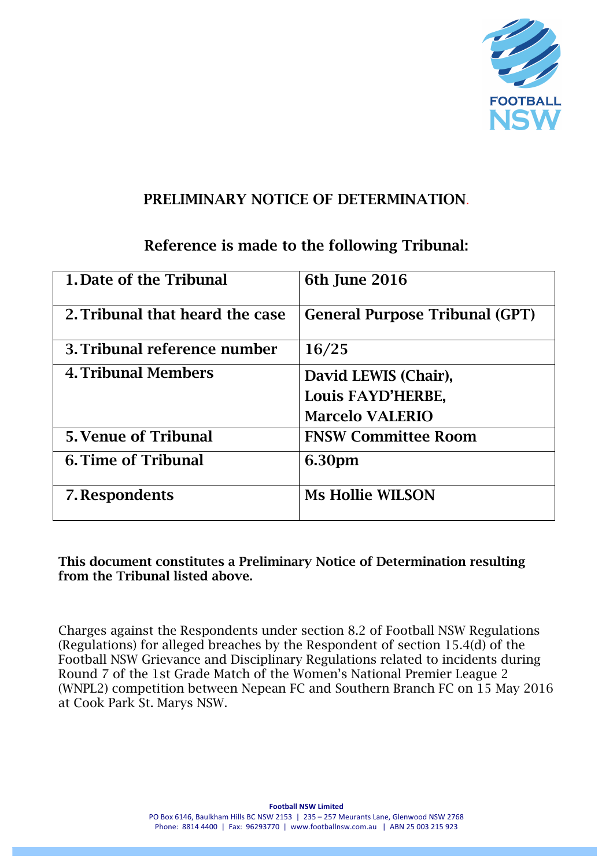

#### PRELIMINARY NOTICE OF DETERMINATION.

## Reference is made to the following Tribunal:

| 1. Date of the Tribunal         | 6th June 2016                         |
|---------------------------------|---------------------------------------|
|                                 |                                       |
|                                 |                                       |
| 2. Tribunal that heard the case | <b>General Purpose Tribunal (GPT)</b> |
|                                 |                                       |
| 3. Tribunal reference number    | 16/25                                 |
|                                 |                                       |
| <b>4. Tribunal Members</b>      | David LEWIS (Chair),                  |
|                                 |                                       |
|                                 | Louis FAYD'HERBE,                     |
|                                 | <b>Marcelo VALERIO</b>                |
|                                 |                                       |
| <b>5. Venue of Tribunal</b>     | <b>FNSW Committee Room</b>            |
|                                 |                                       |
| <b>6. Time of Tribunal</b>      | 6.30pm                                |
|                                 |                                       |
| 7. Respondents                  | <b>Ms Hollie WILSON</b>               |
|                                 |                                       |
|                                 |                                       |

This document constitutes a Preliminary Notice of Determination resulting from the Tribunal listed above.

Charges against the Respondents under section 8.2 of Football NSW Regulations (Regulations) for alleged breaches by the Respondent of section 15.4(d) of the Football NSW Grievance and Disciplinary Regulations related to incidents during Round 7 of the 1st Grade Match of the Women's National Premier League 2 (WNPL2) competition between Nepean FC and Southern Branch FC on 15 May 2016 at Cook Park St. Marys NSW.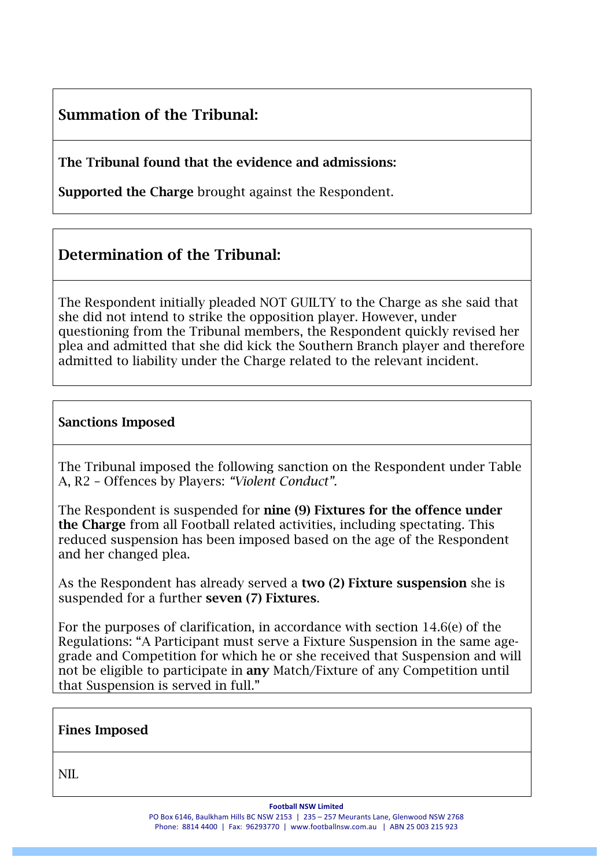# Summation of the Tribunal:

The Tribunal found that the evidence and admissions:

Supported the Charge brought against the Respondent.

## Determination of the Tribunal:

The Respondent initially pleaded NOT GUILTY to the Charge as she said that she did not intend to strike the opposition player. However, under questioning from the Tribunal members, the Respondent quickly revised her plea and admitted that she did kick the Southern Branch player and therefore admitted to liability under the Charge related to the relevant incident.

#### Sanctions Imposed

The Tribunal imposed the following sanction on the Respondent under Table A, R2 – Offences by Players: *"Violent Conduct".*

The Respondent is suspended for nine (9) Fixtures for the offence under the Charge from all Football related activities, including spectating. This reduced suspension has been imposed based on the age of the Respondent and her changed plea.

As the Respondent has already served a two (2) Fixture suspension she is suspended for a further seven (7) Fixtures.

For the purposes of clarification, in accordance with section 14.6(e) of the Regulations: "A Participant must serve a Fixture Suspension in the same agegrade and Competition for which he or she received that Suspension and will not be eligible to participate in any Match/Fixture of any Competition until that Suspension is served in full."

| <b>Fines Imposed</b> |
|----------------------|
|----------------------|

NIL

**Football NSW Limited** 

PO Box 6146, Baulkham Hills BC NSW 2153 | 235 - 257 Meurants Lane, Glenwood NSW 2768 Phone: 8814 4400 | Fax: 96293770 | www.footballnsw.com.au | ABN 25 003 215 923